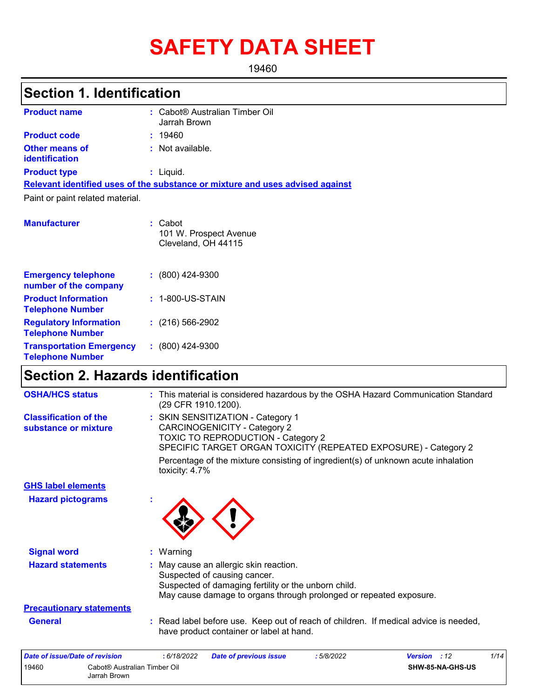# **SAFETY DATA SHEET**

19460

## **Section 1. Identification**

| <b>Product name</b>              |  | : Cabot® Australian Timber Oil<br>Jarrah Brown                                |  |  |
|----------------------------------|--|-------------------------------------------------------------------------------|--|--|
| <b>Product code</b>              |  | : 19460                                                                       |  |  |
| Other means of<br>identification |  | $:$ Not available.                                                            |  |  |
| <b>Product type</b>              |  | : Liquid.                                                                     |  |  |
|                                  |  | Relevant identified uses of the substance or mixture and uses advised against |  |  |
| Paint or paint related material. |  |                                                                               |  |  |
| <b>Manufacturer</b>              |  | : Cabot<br>101 W. Prospect Avenue<br>Cleveland, OH 44115                      |  |  |

| <b>Emergency telephone</b><br>number of the company        | $(800)$ 424-9300    |
|------------------------------------------------------------|---------------------|
| <b>Product Information</b><br><b>Telephone Number</b>      | $: 1-800$ -US-STAIN |
| <b>Regulatory Information</b><br><b>Telephone Number</b>   | $(216)$ 566-2902    |
| <b>Transportation Emergency</b><br><b>Telephone Number</b> | $: (800)$ 424-9300  |

## **Section 2. Hazards identification**

| <b>OSHA/HCS status</b>                               | : This material is considered hazardous by the OSHA Hazard Communication Standard<br>(29 CFR 1910.1200).                                                                                             |
|------------------------------------------------------|------------------------------------------------------------------------------------------------------------------------------------------------------------------------------------------------------|
| <b>Classification of the</b><br>substance or mixture | : SKIN SENSITIZATION - Category 1<br><b>CARCINOGENICITY - Category 2</b><br><b>TOXIC TO REPRODUCTION - Category 2</b><br>SPECIFIC TARGET ORGAN TOXICITY (REPEATED EXPOSURE) - Category 2             |
|                                                      | Percentage of the mixture consisting of ingredient(s) of unknown acute inhalation<br>toxicity: 4.7%                                                                                                  |
| <b>GHS label elements</b>                            |                                                                                                                                                                                                      |
| <b>Hazard pictograms</b>                             |                                                                                                                                                                                                      |
| <b>Signal word</b>                                   | : Warning                                                                                                                                                                                            |
| <b>Hazard statements</b>                             | : May cause an allergic skin reaction.<br>Suspected of causing cancer.<br>Suspected of damaging fertility or the unborn child.<br>May cause damage to organs through prolonged or repeated exposure. |
| <b>Precautionary statements</b>                      |                                                                                                                                                                                                      |
| <b>General</b>                                       | : Read label before use. Keep out of reach of children. If medical advice is needed,<br>have product container or label at hand.                                                                     |
| <b>Date of issue/Date of revision</b>                | Version : 12<br>1/14<br>: 6/18/2022<br><b>Date of previous issue</b><br>:5/8/2022                                                                                                                    |
| Cabot® Australian Timber Oil<br>19460                | SHW-85-NA-GHS-US                                                                                                                                                                                     |

| 19460 | Cabot® Australian Timber Oil | SHW-85-NA-GHS-U |
|-------|------------------------------|-----------------|
|       | Jarrah Brown                 |                 |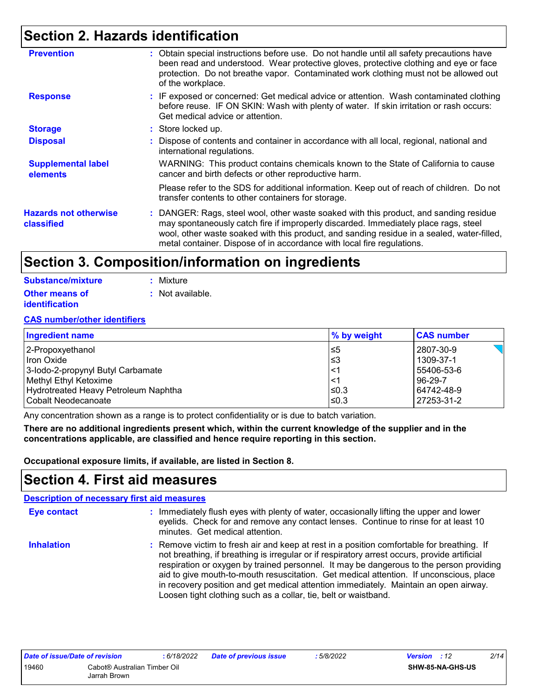## **Section 2. Hazards identification**

| : Obtain special instructions before use. Do not handle until all safety precautions have<br>been read and understood. Wear protective gloves, protective clothing and eye or face<br>protection. Do not breathe vapor. Contaminated work clothing must not be allowed out<br>of the workplace.                                                      |
|------------------------------------------------------------------------------------------------------------------------------------------------------------------------------------------------------------------------------------------------------------------------------------------------------------------------------------------------------|
| : IF exposed or concerned: Get medical advice or attention. Wash contaminated clothing<br>before reuse. IF ON SKIN: Wash with plenty of water. If skin irritation or rash occurs:<br>Get medical advice or attention.                                                                                                                                |
| : Store locked up.                                                                                                                                                                                                                                                                                                                                   |
| : Dispose of contents and container in accordance with all local, regional, national and<br>international regulations.                                                                                                                                                                                                                               |
| WARNING: This product contains chemicals known to the State of California to cause<br>cancer and birth defects or other reproductive harm.                                                                                                                                                                                                           |
| Please refer to the SDS for additional information. Keep out of reach of children. Do not<br>transfer contents to other containers for storage.                                                                                                                                                                                                      |
| : DANGER: Rags, steel wool, other waste soaked with this product, and sanding residue<br>may spontaneously catch fire if improperly discarded. Immediately place rags, steel<br>wool, other waste soaked with this product, and sanding residue in a sealed, water-filled,<br>metal container. Dispose of in accordance with local fire regulations. |
|                                                                                                                                                                                                                                                                                                                                                      |

## **Section 3. Composition/information on ingredients**

| Substance/mixture     | : Mixture        |
|-----------------------|------------------|
| <b>Other means of</b> | : Not available. |
| <b>identification</b> |                  |

#### **CAS number/other identifiers**

| <b>Ingredient name</b>               | $\%$ by weight | <b>CAS number</b> |
|--------------------------------------|----------------|-------------------|
| 2-Propoxyethanol                     | l≤5            | 2807-30-9         |
| Hron Oxide                           | l≤3            | 1309-37-1         |
| 3-lodo-2-propynyl Butyl Carbamate    | $\lt'$         | 55406-53-6        |
| Methyl Ethyl Ketoxime                | $\lt'$         | 96-29-7           |
| Hydrotreated Heavy Petroleum Naphtha | ≤0.3           | 64742-48-9        |
| l Cobalt Neodecanoate                | $≤0.3$         | 27253-31-2        |

Any concentration shown as a range is to protect confidentiality or is due to batch variation.

**There are no additional ingredients present which, within the current knowledge of the supplier and in the concentrations applicable, are classified and hence require reporting in this section.**

**Occupational exposure limits, if available, are listed in Section 8.**

### **Section 4. First aid measures**

| <b>Description of necessary first aid measures</b> |                                                                                                                                                                                                                                                                                                                                                                                                                                                                                                                                           |
|----------------------------------------------------|-------------------------------------------------------------------------------------------------------------------------------------------------------------------------------------------------------------------------------------------------------------------------------------------------------------------------------------------------------------------------------------------------------------------------------------------------------------------------------------------------------------------------------------------|
| <b>Eye contact</b>                                 | : Immediately flush eyes with plenty of water, occasionally lifting the upper and lower<br>eyelids. Check for and remove any contact lenses. Continue to rinse for at least 10<br>minutes. Get medical attention.                                                                                                                                                                                                                                                                                                                         |
| <b>Inhalation</b>                                  | : Remove victim to fresh air and keep at rest in a position comfortable for breathing. If<br>not breathing, if breathing is irregular or if respiratory arrest occurs, provide artificial<br>respiration or oxygen by trained personnel. It may be dangerous to the person providing<br>aid to give mouth-to-mouth resuscitation. Get medical attention. If unconscious, place<br>in recovery position and get medical attention immediately. Maintain an open airway.<br>Loosen tight clothing such as a collar, tie, belt or waistband. |

| Date of issue/Date of revision |                              | : 6/18/2022 | <b>Date of previous issue</b> | 5/8/2022 | <b>Version</b> : 12 |                         | 2/14 |
|--------------------------------|------------------------------|-------------|-------------------------------|----------|---------------------|-------------------------|------|
| 19460                          | Cabot® Australian Timber Oil |             |                               |          |                     | <b>SHW-85-NA-GHS-US</b> |      |
|                                | Jarrah Brown                 |             |                               |          |                     |                         |      |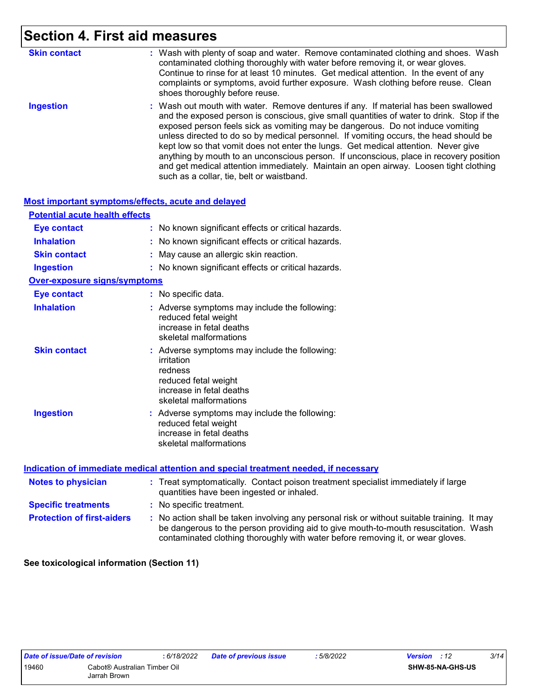## **Section 4. First aid measures**

| <b>Skin contact</b> | : Wash with plenty of soap and water. Remove contaminated clothing and shoes. Wash<br>contaminated clothing thoroughly with water before removing it, or wear gloves.<br>Continue to rinse for at least 10 minutes. Get medical attention. In the event of any<br>complaints or symptoms, avoid further exposure. Wash clothing before reuse. Clean<br>shoes thoroughly before reuse.                                                                                                                                                                                                                                                                                             |
|---------------------|-----------------------------------------------------------------------------------------------------------------------------------------------------------------------------------------------------------------------------------------------------------------------------------------------------------------------------------------------------------------------------------------------------------------------------------------------------------------------------------------------------------------------------------------------------------------------------------------------------------------------------------------------------------------------------------|
| <b>Ingestion</b>    | : Wash out mouth with water. Remove dentures if any. If material has been swallowed<br>and the exposed person is conscious, give small quantities of water to drink. Stop if the<br>exposed person feels sick as vomiting may be dangerous. Do not induce vomiting<br>unless directed to do so by medical personnel. If vomiting occurs, the head should be<br>kept low so that vomit does not enter the lungs. Get medical attention. Never give<br>anything by mouth to an unconscious person. If unconscious, place in recovery position<br>and get medical attention immediately. Maintain an open airway. Loosen tight clothing<br>such as a collar, tie, belt or waistband. |

#### **Most important symptoms/effects, acute and delayed**

| <b>Potential acute health effects</b> |                                                                                                                                                      |
|---------------------------------------|------------------------------------------------------------------------------------------------------------------------------------------------------|
| <b>Eye contact</b>                    | : No known significant effects or critical hazards.                                                                                                  |
| <b>Inhalation</b>                     | : No known significant effects or critical hazards.                                                                                                  |
| <b>Skin contact</b>                   | May cause an allergic skin reaction.                                                                                                                 |
| <b>Ingestion</b>                      | : No known significant effects or critical hazards.                                                                                                  |
| <b>Over-exposure signs/symptoms</b>   |                                                                                                                                                      |
| <b>Eye contact</b>                    | : No specific data.                                                                                                                                  |
| <b>Inhalation</b>                     | : Adverse symptoms may include the following:<br>reduced fetal weight<br>increase in fetal deaths<br>skeletal malformations                          |
| <b>Skin contact</b>                   | : Adverse symptoms may include the following:<br>irritation<br>redness<br>reduced fetal weight<br>increase in fetal deaths<br>skeletal malformations |
| <b>Ingestion</b>                      | : Adverse symptoms may include the following:<br>reduced fetal weight<br>increase in fetal deaths<br>skeletal malformations                          |

|                                   | Indication of immediate medical attention and special treatment needed, if necessary                                                                                                                                                                                |  |
|-----------------------------------|---------------------------------------------------------------------------------------------------------------------------------------------------------------------------------------------------------------------------------------------------------------------|--|
| <b>Notes to physician</b>         | : Treat symptomatically. Contact poison treatment specialist immediately if large<br>quantities have been ingested or inhaled.                                                                                                                                      |  |
| <b>Specific treatments</b>        | : No specific treatment.                                                                                                                                                                                                                                            |  |
| <b>Protection of first-aiders</b> | No action shall be taken involving any personal risk or without suitable training. It may<br>be dangerous to the person providing aid to give mouth-to-mouth resuscitation. Wash<br>contaminated clothing thoroughly with water before removing it, or wear gloves. |  |

**See toxicological information (Section 11)**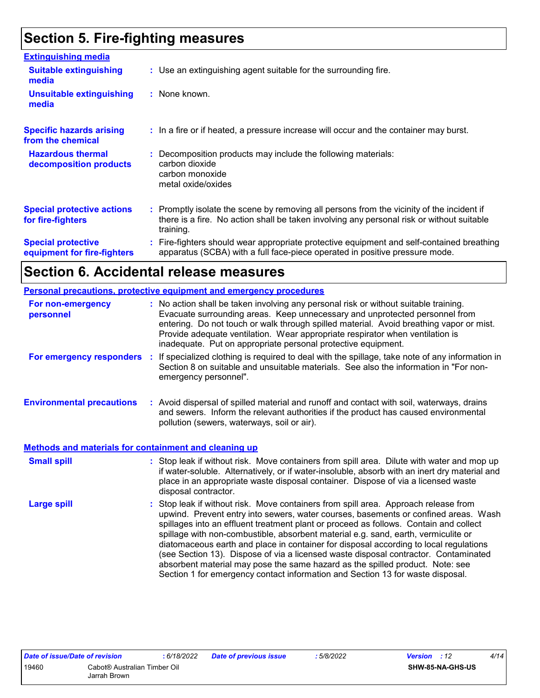## **Section 5. Fire-fighting measures**

| <b>Extinguishing media</b>                               |                                                                                                                                                                                                     |
|----------------------------------------------------------|-----------------------------------------------------------------------------------------------------------------------------------------------------------------------------------------------------|
| <b>Suitable extinguishing</b><br>media                   | : Use an extinguishing agent suitable for the surrounding fire.                                                                                                                                     |
| <b>Unsuitable extinguishing</b><br>media                 | : None known.                                                                                                                                                                                       |
| <b>Specific hazards arising</b><br>from the chemical     | : In a fire or if heated, a pressure increase will occur and the container may burst.                                                                                                               |
| <b>Hazardous thermal</b><br>decomposition products       | : Decomposition products may include the following materials:<br>carbon dioxide<br>carbon monoxide<br>metal oxide/oxides                                                                            |
| <b>Special protective actions</b><br>for fire-fighters   | : Promptly isolate the scene by removing all persons from the vicinity of the incident if<br>there is a fire. No action shall be taken involving any personal risk or without suitable<br>training. |
| <b>Special protective</b><br>equipment for fire-fighters | Fire-fighters should wear appropriate protective equipment and self-contained breathing<br>apparatus (SCBA) with a full face-piece operated in positive pressure mode.                              |

## **Section 6. Accidental release measures**

|                                                              | Personal precautions, protective equipment and emergency procedures                                                                                                                                                                                                                                                                                                                                                                                                                                                                                                                                                                                                                                          |
|--------------------------------------------------------------|--------------------------------------------------------------------------------------------------------------------------------------------------------------------------------------------------------------------------------------------------------------------------------------------------------------------------------------------------------------------------------------------------------------------------------------------------------------------------------------------------------------------------------------------------------------------------------------------------------------------------------------------------------------------------------------------------------------|
| For non-emergency<br>personnel                               | : No action shall be taken involving any personal risk or without suitable training.<br>Evacuate surrounding areas. Keep unnecessary and unprotected personnel from<br>entering. Do not touch or walk through spilled material. Avoid breathing vapor or mist.<br>Provide adequate ventilation. Wear appropriate respirator when ventilation is<br>inadequate. Put on appropriate personal protective equipment.                                                                                                                                                                                                                                                                                             |
| For emergency responders                                     | If specialized clothing is required to deal with the spillage, take note of any information in<br>÷.<br>Section 8 on suitable and unsuitable materials. See also the information in "For non-<br>emergency personnel".                                                                                                                                                                                                                                                                                                                                                                                                                                                                                       |
| <b>Environmental precautions</b>                             | : Avoid dispersal of spilled material and runoff and contact with soil, waterways, drains<br>and sewers. Inform the relevant authorities if the product has caused environmental<br>pollution (sewers, waterways, soil or air).                                                                                                                                                                                                                                                                                                                                                                                                                                                                              |
| <b>Methods and materials for containment and cleaning up</b> |                                                                                                                                                                                                                                                                                                                                                                                                                                                                                                                                                                                                                                                                                                              |
| <b>Small spill</b>                                           | : Stop leak if without risk. Move containers from spill area. Dilute with water and mop up<br>if water-soluble. Alternatively, or if water-insoluble, absorb with an inert dry material and<br>place in an appropriate waste disposal container. Dispose of via a licensed waste<br>disposal contractor.                                                                                                                                                                                                                                                                                                                                                                                                     |
| <b>Large spill</b>                                           | : Stop leak if without risk. Move containers from spill area. Approach release from<br>upwind. Prevent entry into sewers, water courses, basements or confined areas. Wash<br>spillages into an effluent treatment plant or proceed as follows. Contain and collect<br>spillage with non-combustible, absorbent material e.g. sand, earth, vermiculite or<br>diatomaceous earth and place in container for disposal according to local regulations<br>(see Section 13). Dispose of via a licensed waste disposal contractor. Contaminated<br>absorbent material may pose the same hazard as the spilled product. Note: see<br>Section 1 for emergency contact information and Section 13 for waste disposal. |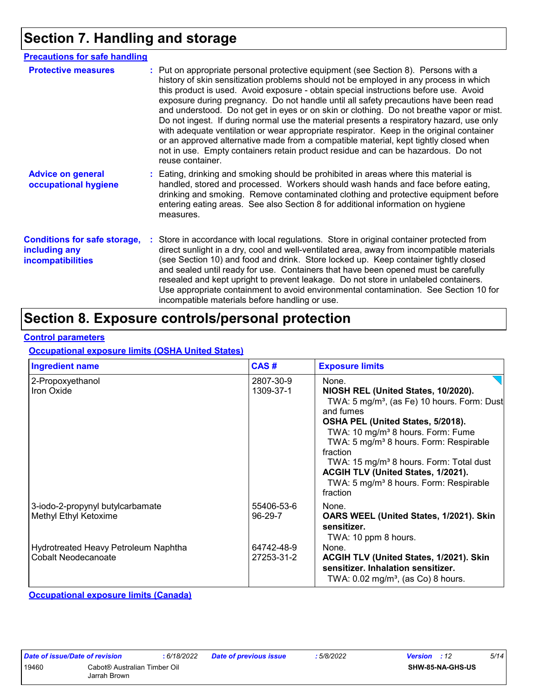## **Section 7. Handling and storage**

| <b>Precautions for safe handling</b>                                             |                                                                                                                                                                                                                                                                                                                                                                                                                                                                                                                                                                                                                                                                                                                                                                                                                                                 |
|----------------------------------------------------------------------------------|-------------------------------------------------------------------------------------------------------------------------------------------------------------------------------------------------------------------------------------------------------------------------------------------------------------------------------------------------------------------------------------------------------------------------------------------------------------------------------------------------------------------------------------------------------------------------------------------------------------------------------------------------------------------------------------------------------------------------------------------------------------------------------------------------------------------------------------------------|
| <b>Protective measures</b>                                                       | : Put on appropriate personal protective equipment (see Section 8). Persons with a<br>history of skin sensitization problems should not be employed in any process in which<br>this product is used. Avoid exposure - obtain special instructions before use. Avoid<br>exposure during pregnancy. Do not handle until all safety precautions have been read<br>and understood. Do not get in eyes or on skin or clothing. Do not breathe vapor or mist.<br>Do not ingest. If during normal use the material presents a respiratory hazard, use only<br>with adequate ventilation or wear appropriate respirator. Keep in the original container<br>or an approved alternative made from a compatible material, kept tightly closed when<br>not in use. Empty containers retain product residue and can be hazardous. Do not<br>reuse container. |
| <b>Advice on general</b><br>occupational hygiene                                 | : Eating, drinking and smoking should be prohibited in areas where this material is<br>handled, stored and processed. Workers should wash hands and face before eating,<br>drinking and smoking. Remove contaminated clothing and protective equipment before<br>entering eating areas. See also Section 8 for additional information on hygiene<br>measures.                                                                                                                                                                                                                                                                                                                                                                                                                                                                                   |
| <b>Conditions for safe storage,</b><br>including any<br><b>incompatibilities</b> | Store in accordance with local regulations. Store in original container protected from<br>direct sunlight in a dry, cool and well-ventilated area, away from incompatible materials<br>(see Section 10) and food and drink. Store locked up. Keep container tightly closed<br>and sealed until ready for use. Containers that have been opened must be carefully<br>resealed and kept upright to prevent leakage. Do not store in unlabeled containers.<br>Use appropriate containment to avoid environmental contamination. See Section 10 for<br>incompatible materials before handling or use.                                                                                                                                                                                                                                               |

## **Section 8. Exposure controls/personal protection**

#### **Control parameters**

#### **Occupational exposure limits (OSHA United States)**

| <b>Ingredient name</b>                                      | CAS#                     | <b>Exposure limits</b>                                                                                                                                                                                                                                                                                                                                                                                                                      |
|-------------------------------------------------------------|--------------------------|---------------------------------------------------------------------------------------------------------------------------------------------------------------------------------------------------------------------------------------------------------------------------------------------------------------------------------------------------------------------------------------------------------------------------------------------|
| 2-Propoxyethanol<br>Iron Oxide                              | 2807-30-9<br>1309-37-1   | None.<br>NIOSH REL (United States, 10/2020).<br>TWA: 5 mg/m <sup>3</sup> , (as Fe) 10 hours. Form: Dust<br>and fumes<br>OSHA PEL (United States, 5/2018).<br>TWA: 10 mg/m <sup>3</sup> 8 hours. Form: Fume<br>TWA: 5 mg/m <sup>3</sup> 8 hours. Form: Respirable<br>fraction<br>TWA: 15 mg/m <sup>3</sup> 8 hours. Form: Total dust<br>ACGIH TLV (United States, 1/2021).<br>TWA: 5 mg/m <sup>3</sup> 8 hours. Form: Respirable<br>fraction |
| 3-iodo-2-propynyl butylcarbamate<br>Methyl Ethyl Ketoxime   | 55406-53-6<br>96-29-7    | None.<br>OARS WEEL (United States, 1/2021). Skin<br>sensitizer.<br>TWA: 10 ppm 8 hours.                                                                                                                                                                                                                                                                                                                                                     |
| Hydrotreated Heavy Petroleum Naphtha<br>Cobalt Neodecanoate | 64742-48-9<br>27253-31-2 | None.<br>ACGIH TLV (United States, 1/2021). Skin<br>sensitizer. Inhalation sensitizer.<br>TWA: $0.02$ mg/m <sup>3</sup> , (as Co) 8 hours.                                                                                                                                                                                                                                                                                                  |

**Occupational exposure limits (Canada)**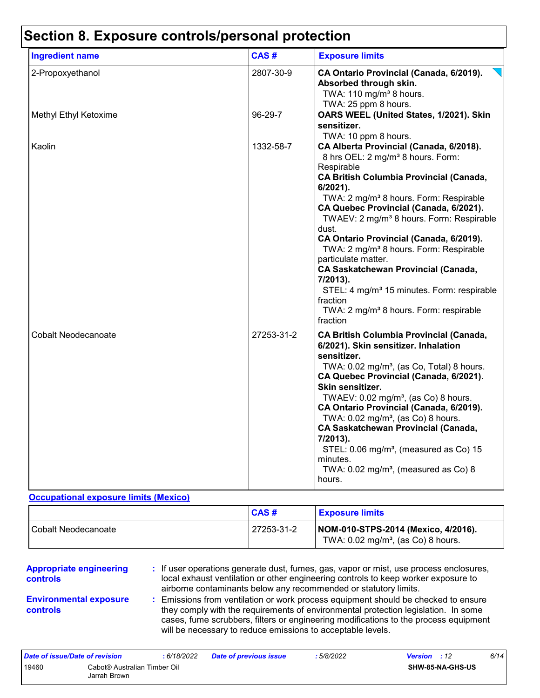## **Section 8. Exposure controls/personal protection**

| <b>Ingredient name</b>     | CAS#       | <b>Exposure limits</b>                                                                                                                                                                                                                                                                                                                                                                                                                                                                                                                                                                                                                                          |
|----------------------------|------------|-----------------------------------------------------------------------------------------------------------------------------------------------------------------------------------------------------------------------------------------------------------------------------------------------------------------------------------------------------------------------------------------------------------------------------------------------------------------------------------------------------------------------------------------------------------------------------------------------------------------------------------------------------------------|
| 2-Propoxyethanol           | 2807-30-9  | CA Ontario Provincial (Canada, 6/2019).<br>Absorbed through skin.<br>TWA: 110 mg/m <sup>3</sup> 8 hours.<br>TWA: 25 ppm 8 hours.                                                                                                                                                                                                                                                                                                                                                                                                                                                                                                                                |
| Methyl Ethyl Ketoxime      | 96-29-7    | OARS WEEL (United States, 1/2021). Skin<br>sensitizer.<br>TWA: 10 ppm 8 hours.                                                                                                                                                                                                                                                                                                                                                                                                                                                                                                                                                                                  |
| Kaolin                     | 1332-58-7  | CA Alberta Provincial (Canada, 6/2018).<br>8 hrs OEL: 2 mg/m <sup>3</sup> 8 hours. Form:<br>Respirable<br><b>CA British Columbia Provincial (Canada,</b><br>6/2021).<br>TWA: 2 mg/m <sup>3</sup> 8 hours. Form: Respirable<br>CA Quebec Provincial (Canada, 6/2021).<br>TWAEV: 2 mg/m <sup>3</sup> 8 hours. Form: Respirable<br>dust.<br>CA Ontario Provincial (Canada, 6/2019).<br>TWA: 2 mg/m <sup>3</sup> 8 hours. Form: Respirable<br>particulate matter.<br><b>CA Saskatchewan Provincial (Canada,</b><br>7/2013).<br>STEL: 4 mg/m <sup>3</sup> 15 minutes. Form: respirable<br>fraction<br>TWA: 2 mg/m <sup>3</sup> 8 hours. Form: respirable<br>fraction |
| <b>Cobalt Neodecanoate</b> | 27253-31-2 | <b>CA British Columbia Provincial (Canada,</b><br>6/2021). Skin sensitizer. Inhalation<br>sensitizer.<br>TWA: 0.02 mg/m <sup>3</sup> , (as Co, Total) 8 hours.<br>CA Quebec Provincial (Canada, 6/2021).<br>Skin sensitizer.<br>TWAEV: 0.02 mg/m <sup>3</sup> , (as Co) 8 hours.<br>CA Ontario Provincial (Canada, 6/2019).<br>TWA: $0.02$ mg/m <sup>3</sup> , (as Co) 8 hours.<br><b>CA Saskatchewan Provincial (Canada,</b><br>7/2013).<br>STEL: 0.06 mg/m <sup>3</sup> , (measured as Co) 15<br>minutes.<br>TWA: $0.02$ mg/m <sup>3</sup> , (measured as Co) 8<br>hours.                                                                                     |

#### **Occupational exposure limits (Mexico)**

|                       | $\overline{CAS}$ # | <b>Exposure limits</b>                                                               |
|-----------------------|--------------------|--------------------------------------------------------------------------------------|
| l Cobalt Neodecanoate | 27253-31-2         | NOM-010-STPS-2014 (Mexico, 4/2016).<br>TWA: $0.02 \text{ mg/m}^3$ , (as Co) 8 hours. |

| <b>Appropriate engineering</b><br><b>controls</b> | : If user operations generate dust, fumes, gas, vapor or mist, use process enclosures,<br>local exhaust ventilation or other engineering controls to keep worker exposure to |
|---------------------------------------------------|------------------------------------------------------------------------------------------------------------------------------------------------------------------------------|
|                                                   | airborne contaminants below any recommended or statutory limits.                                                                                                             |
| <b>Environmental exposure</b>                     | : Emissions from ventilation or work process equipment should be checked to ensure                                                                                           |

#### they comply with the requirements of environmental protection legislation. In some cases, fume scrubbers, filters or engineering modifications to the process equipment will be necessary to reduce emissions to acceptable levels. **controls**

| Date of issue/Date of revision |                              | : 6/18/2022 | <b>Date of previous issue</b> | : 5/8/2022 | <b>Version</b> : 12 |                         | 6/14 |
|--------------------------------|------------------------------|-------------|-------------------------------|------------|---------------------|-------------------------|------|
| 19460                          | Cabot® Australian Timber Oil |             |                               |            |                     | <b>SHW-85-NA-GHS-US</b> |      |
|                                | Jarrah Brown                 |             |                               |            |                     |                         |      |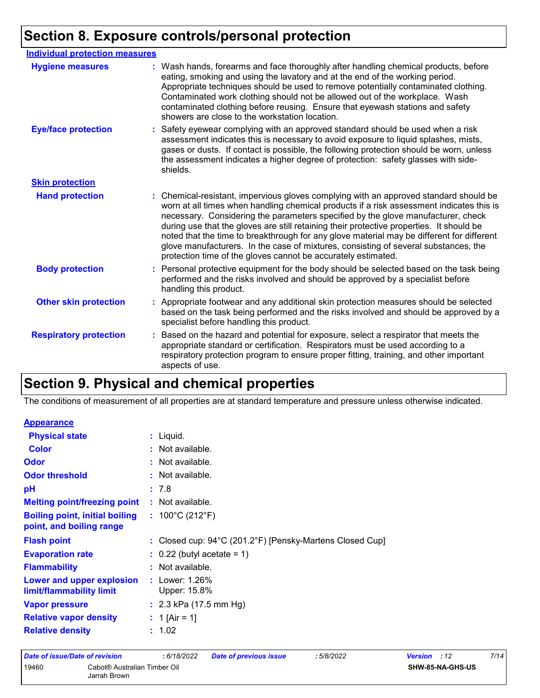## **Section 8. Exposure controls/personal protection**

| <b>Individual protection measures</b> |    |                                                                                                                                                                                                                                                                                                                                                                                                                                                                                                                                                                                                                        |
|---------------------------------------|----|------------------------------------------------------------------------------------------------------------------------------------------------------------------------------------------------------------------------------------------------------------------------------------------------------------------------------------------------------------------------------------------------------------------------------------------------------------------------------------------------------------------------------------------------------------------------------------------------------------------------|
| <b>Hygiene measures</b>               |    | : Wash hands, forearms and face thoroughly after handling chemical products, before<br>eating, smoking and using the lavatory and at the end of the working period.<br>Appropriate techniques should be used to remove potentially contaminated clothing.<br>Contaminated work clothing should not be allowed out of the workplace. Wash<br>contaminated clothing before reusing. Ensure that eyewash stations and safety<br>showers are close to the workstation location.                                                                                                                                            |
| <b>Eye/face protection</b>            |    | Safety eyewear complying with an approved standard should be used when a risk<br>assessment indicates this is necessary to avoid exposure to liquid splashes, mists,<br>gases or dusts. If contact is possible, the following protection should be worn, unless<br>the assessment indicates a higher degree of protection: safety glasses with side-<br>shields.                                                                                                                                                                                                                                                       |
| <b>Skin protection</b>                |    |                                                                                                                                                                                                                                                                                                                                                                                                                                                                                                                                                                                                                        |
| <b>Hand protection</b>                |    | : Chemical-resistant, impervious gloves complying with an approved standard should be<br>worn at all times when handling chemical products if a risk assessment indicates this is<br>necessary. Considering the parameters specified by the glove manufacturer, check<br>during use that the gloves are still retaining their protective properties. It should be<br>noted that the time to breakthrough for any glove material may be different for different<br>glove manufacturers. In the case of mixtures, consisting of several substances, the<br>protection time of the gloves cannot be accurately estimated. |
| <b>Body protection</b>                | ÷. | Personal protective equipment for the body should be selected based on the task being<br>performed and the risks involved and should be approved by a specialist before<br>handling this product.                                                                                                                                                                                                                                                                                                                                                                                                                      |
| <b>Other skin protection</b>          |    | : Appropriate footwear and any additional skin protection measures should be selected<br>based on the task being performed and the risks involved and should be approved by a<br>specialist before handling this product.                                                                                                                                                                                                                                                                                                                                                                                              |
| <b>Respiratory protection</b>         |    | : Based on the hazard and potential for exposure, select a respirator that meets the<br>appropriate standard or certification. Respirators must be used according to a<br>respiratory protection program to ensure proper fitting, training, and other important<br>aspects of use.                                                                                                                                                                                                                                                                                                                                    |

## **Section 9. Physical and chemical properties**

The conditions of measurement of all properties are at standard temperature and pressure unless otherwise indicated.

| <b>Appearance</b>                                     |                                                                               |
|-------------------------------------------------------|-------------------------------------------------------------------------------|
| <b>Physical state</b>                                 | $:$ Liquid.                                                                   |
| <b>Color</b>                                          | : Not available.                                                              |
| Odor                                                  | : Not available.                                                              |
| <b>Odor threshold</b>                                 | : Not available.                                                              |
| рH                                                    | : 7.8                                                                         |
| <b>Melting point/freezing point</b>                   | : Not available.                                                              |
| <b>Boiling point, initial boiling</b>                 | : $100^{\circ}$ C (212 $^{\circ}$ F)                                          |
| point, and boiling range                              |                                                                               |
| <b>Flash point</b>                                    | : Closed cup: $94^{\circ}$ C (201.2 $^{\circ}$ F) [Pensky-Martens Closed Cup] |
| <b>Evaporation rate</b>                               | $\therefore$ 0.22 (butyl acetate = 1)                                         |
| <b>Flammability</b>                                   | : Not available.                                                              |
| Lower and upper explosion<br>limit/flammability limit | : Lower: $1.26\%$<br>Upper: 15.8%                                             |
| <b>Vapor pressure</b>                                 | : $2.3$ kPa (17.5 mm Hg)                                                      |
| <b>Relative vapor density</b>                         | : 1 [Air = 1]                                                                 |
| <b>Relative density</b>                               | : 1.02                                                                        |
|                                                       |                                                                               |

| Date of issue/Date of revision |                                              | :6/18/2022 | Date of previous issue | : 5/8/2022 | <b>Version</b> : 12     | 7/14 |
|--------------------------------|----------------------------------------------|------------|------------------------|------------|-------------------------|------|
| 19460                          | Cabot® Australian Timber Oil<br>Jarrah Brown |            |                        |            | <b>SHW-85-NA-GHS-US</b> |      |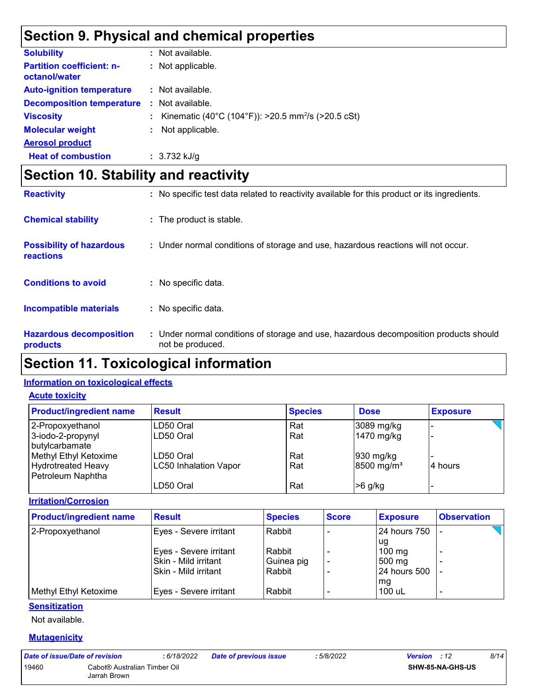## **Section 9. Physical and chemical properties**

| <b>Solubility</b>                                 | : Not available.                                                 |
|---------------------------------------------------|------------------------------------------------------------------|
| <b>Partition coefficient: n-</b><br>octanol/water | : Not applicable.                                                |
| <b>Auto-ignition temperature</b>                  | : Not available.                                                 |
| <b>Decomposition temperature</b>                  | : Not available.                                                 |
| <b>Viscosity</b>                                  | : Kinematic (40°C (104°F)): >20.5 mm <sup>2</sup> /s (>20.5 cSt) |
| <b>Molecular weight</b>                           | : Not applicable.                                                |
| <b>Aerosol product</b>                            |                                                                  |
| <b>Heat of combustion</b>                         | $: 3.732$ kJ/g                                                   |

## **Section 10. Stability and reactivity**

| <b>Reactivity</b>                            | : No specific test data related to reactivity available for this product or its ingredients.              |
|----------------------------------------------|-----------------------------------------------------------------------------------------------------------|
| <b>Chemical stability</b>                    | : The product is stable.                                                                                  |
| <b>Possibility of hazardous</b><br>reactions | : Under normal conditions of storage and use, hazardous reactions will not occur.                         |
| <b>Conditions to avoid</b>                   | No specific data.                                                                                         |
| <b>Incompatible materials</b>                | : No specific data.                                                                                       |
| <b>Hazardous decomposition</b><br>products   | : Under normal conditions of storage and use, hazardous decomposition products should<br>not be produced. |

## **Section 11. Toxicological information**

#### **Information on toxicological effects**

#### **Acute toxicity**

| <b>Product/ingredient name</b>                 | <b>Result</b>         | <b>Species</b> | <b>Dose</b>            | <b>Exposure</b> |
|------------------------------------------------|-----------------------|----------------|------------------------|-----------------|
| 2-Propoxyethanol                               | LD50 Oral             | Rat            | $3089$ mg/kg           |                 |
| 3-iodo-2-propynyl<br>butylcarbamate            | LD50 Oral             | Rat            | 1470 mg/kg             |                 |
| Methyl Ethyl Ketoxime                          | LD50 Oral             | Rat            | $ 930 \text{ mg/kg} $  |                 |
| <b>Hydrotreated Heavy</b><br>Petroleum Naphtha | LC50 Inhalation Vapor | Rat            | 8500 mg/m <sup>3</sup> | l4 hours        |
|                                                | LD50 Oral             | Rat            | $>6$ g/kg              |                 |

**Irritation/Corrosion**

| <b>Product/ingredient name</b> | <b>Result</b>          | <b>Species</b> | <b>Score</b> | <b>Exposure</b> | <b>Observation</b>       |
|--------------------------------|------------------------|----------------|--------------|-----------------|--------------------------|
| 2-Propoxyethanol               | Eyes - Severe irritant | Rabbit         |              | 124 hours 750   |                          |
|                                |                        |                |              | ug              |                          |
|                                | Eyes - Severe irritant | Rabbit         |              | $100$ mg        |                          |
|                                | Skin - Mild irritant   | Guinea pig     |              | 500 mg          |                          |
|                                | Skin - Mild irritant   | Rabbit         |              | 24 hours 500    |                          |
|                                |                        |                |              | mg              |                          |
| Methyl Ethyl Ketoxime          | Eyes - Severe irritant | Rabbit         |              | 100 uL          | $\overline{\phantom{0}}$ |

#### **Sensitization**

Not available.

#### **Mutagenicity**

| Date of issue/Date of revision |                              | : 6/18/2022 | <b>Date of previous issue</b> | 5/8/2022 | <b>Version</b> : 12     | 8/14 |
|--------------------------------|------------------------------|-------------|-------------------------------|----------|-------------------------|------|
| 19460                          | Cabot® Australian Timber Oil |             |                               |          | <b>SHW-85-NA-GHS-US</b> |      |
|                                | Jarrah Brown                 |             |                               |          |                         |      |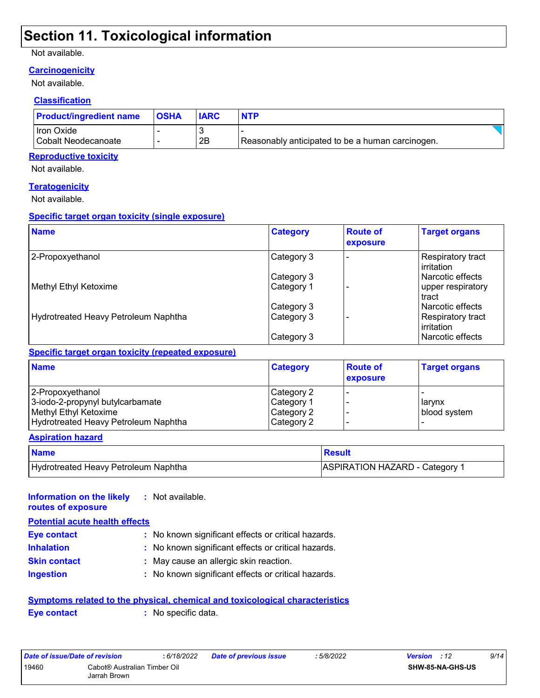### **Section 11. Toxicological information**

#### Not available.

#### **Carcinogenicity**

Not available.

#### **Classification**

| <b>Product/ingredient name</b> | <b>OSHA</b> | <b>IARC</b> | <b>NTP</b>                                       |  |
|--------------------------------|-------------|-------------|--------------------------------------------------|--|
| Iron Oxide                     |             |             |                                                  |  |
| Cobalt Neodecanoate            |             | 2Β          | Reasonably anticipated to be a human carcinogen. |  |

#### **Reproductive toxicity**

Not available.

#### **Teratogenicity**

Not available.

#### **Specific target organ toxicity (single exposure)**

| <b>Name</b>                          | <b>Category</b> | <b>Route of</b><br>exposure | <b>Target organs</b>                    |
|--------------------------------------|-----------------|-----------------------------|-----------------------------------------|
| 2-Propoxyethanol                     | Category 3      |                             | Respiratory tract<br>l irritation       |
|                                      | Category 3      |                             | l Narcotic effects                      |
| Methyl Ethyl Ketoxime                | Category 1      |                             | upper respiratory<br>tract              |
|                                      | Category 3      |                             | l Narcotic effects                      |
| Hydrotreated Heavy Petroleum Naphtha | Category 3      |                             | Respiratory tract<br><b>lirritation</b> |
|                                      | Category 3      |                             | l Narcotic effects                      |

#### **Specific target organ toxicity (repeated exposure)**

| <b>Name</b>                          | <b>Category</b> | <b>Route of</b><br>exposure | <b>Target organs</b> |
|--------------------------------------|-----------------|-----------------------------|----------------------|
| 2-Propoxyethanol                     | Category 2      |                             |                      |
| 3-iodo-2-propynyl butylcarbamate     | Category 1      |                             | larynx               |
| Methyl Ethyl Ketoxime                | Category 2      |                             | blood system         |
| Hydrotreated Heavy Petroleum Naphtha | Category 2      |                             |                      |

#### **Aspiration hazard**

| <b>Name</b>                          | <b>Besult</b>                         |
|--------------------------------------|---------------------------------------|
| Hydrotreated Heavy Petroleum Naphtha | <b>ASPIRATION HAZARD - Category 1</b> |

#### **Information on the likely :** Not available. **routes of exposure**

| <b>Potential acute health effects</b> |                                                     |
|---------------------------------------|-----------------------------------------------------|
| <b>Eye contact</b>                    | : No known significant effects or critical hazards. |
| <b>Inhalation</b>                     | : No known significant effects or critical hazards. |
| <b>Skin contact</b>                   | : May cause an allergic skin reaction.              |
| <b>Ingestion</b>                      | : No known significant effects or critical hazards. |

#### **Symptoms related to the physical, chemical and toxicological characteristics Eye contact :** No specific data.

| Date of issue/Date of revision |                              | : 6/18/2022 | Date of previous issue | :5/8/2022 | <b>Version</b> : 12     | 9/14 |
|--------------------------------|------------------------------|-------------|------------------------|-----------|-------------------------|------|
| 19460                          | Cabot® Australian Timber Oil |             |                        |           | <b>SHW-85-NA-GHS-US</b> |      |
|                                | Jarrah Brown                 |             |                        |           |                         |      |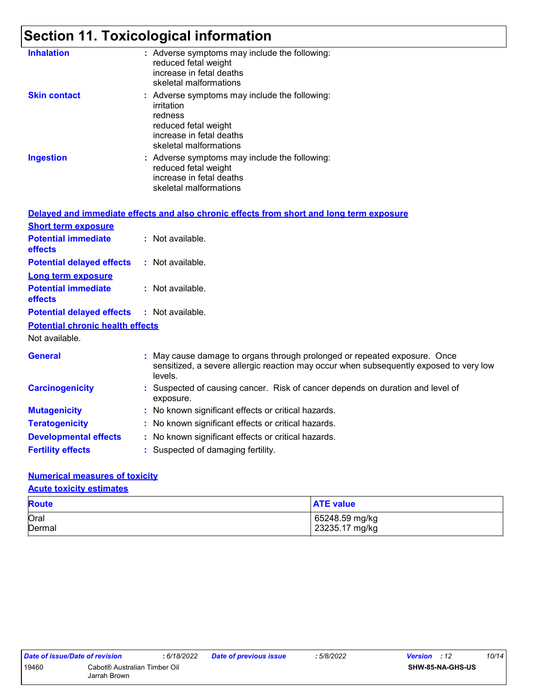## **Section 11. Toxicological information**

| <b>Inhalation</b>   | : Adverse symptoms may include the following:<br>reduced fetal weight<br>increase in fetal deaths<br>skeletal malformations                          |
|---------------------|------------------------------------------------------------------------------------------------------------------------------------------------------|
| <b>Skin contact</b> | : Adverse symptoms may include the following:<br>irritation<br>redness<br>reduced fetal weight<br>increase in fetal deaths<br>skeletal malformations |
| <b>Ingestion</b>    | : Adverse symptoms may include the following:<br>reduced fetal weight<br>increase in fetal deaths<br>skeletal malformations                          |

|                                                   | Delayed and immediate effects and also chronic effects from short and long term exposure                                                                                       |
|---------------------------------------------------|--------------------------------------------------------------------------------------------------------------------------------------------------------------------------------|
| <b>Short term exposure</b>                        |                                                                                                                                                                                |
| <b>Potential immediate</b><br><b>effects</b>      | $:$ Not available.                                                                                                                                                             |
| <b>Potential delayed effects</b>                  | : Not available.                                                                                                                                                               |
| <b>Long term exposure</b>                         |                                                                                                                                                                                |
| <b>Potential immediate</b><br><b>effects</b>      | : Not available.                                                                                                                                                               |
| <b>Potential delayed effects : Not available.</b> |                                                                                                                                                                                |
| <b>Potential chronic health effects</b>           |                                                                                                                                                                                |
| Not available.                                    |                                                                                                                                                                                |
| <b>General</b>                                    | : May cause damage to organs through prolonged or repeated exposure. Once<br>sensitized, a severe allergic reaction may occur when subsequently exposed to very low<br>levels. |
| <b>Carcinogenicity</b>                            | : Suspected of causing cancer. Risk of cancer depends on duration and level of<br>exposure.                                                                                    |
| <b>Mutagenicity</b>                               | : No known significant effects or critical hazards.                                                                                                                            |
| <b>Teratogenicity</b>                             | : No known significant effects or critical hazards.                                                                                                                            |
| <b>Developmental effects</b>                      | : No known significant effects or critical hazards.                                                                                                                            |
| <b>Fertility effects</b>                          | : Suspected of damaging fertility.                                                                                                                                             |

#### **Numerical measures of toxicity**

#### **Acute toxicity estimates**

| <b>Route</b> | <b>ATE value</b> |  |  |  |
|--------------|------------------|--|--|--|
| Oral         | 65248.59 mg/kg   |  |  |  |
| Dermal       | 23235.17 mg/kg   |  |  |  |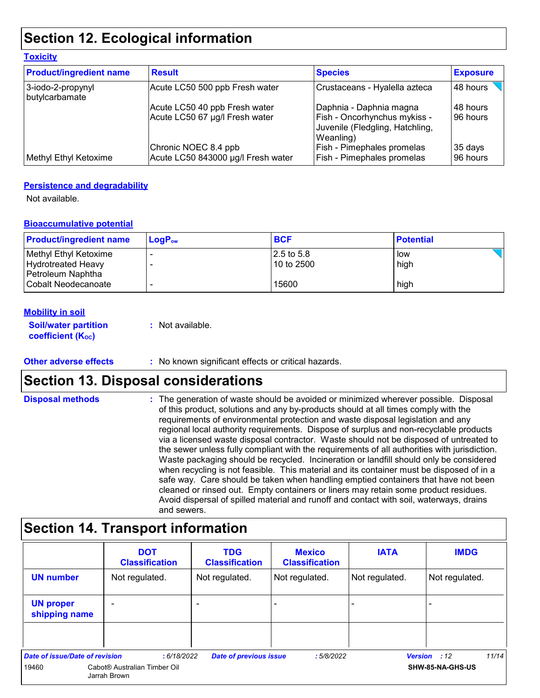## **Section 12. Ecological information**

| <b>Toxicity</b>                     |                                    |                                                                              |                 |
|-------------------------------------|------------------------------------|------------------------------------------------------------------------------|-----------------|
| <b>Product/ingredient name</b>      | <b>Result</b>                      | <b>Species</b>                                                               | <b>Exposure</b> |
| 3-iodo-2-propynyl<br>butylcarbamate | Acute LC50 500 ppb Fresh water     | Crustaceans - Hyalella azteca                                                | 48 hours        |
|                                     | Acute LC50 40 ppb Fresh water      | Daphnia - Daphnia magna                                                      | 48 hours        |
|                                     | Acute LC50 67 µg/l Fresh water     | Fish - Oncorhynchus mykiss -<br>Juvenile (Fledgling, Hatchling,<br>Weanling) | 96 hours        |
|                                     | Chronic NOEC 8.4 ppb               | <b>Fish - Pimephales promelas</b>                                            | 35 days         |
| Methyl Ethyl Ketoxime               | Acute LC50 843000 µg/l Fresh water | <b>Fish - Pimephales promelas</b>                                            | 96 hours        |

#### **Persistence and degradability**

Not available.

#### **Bioaccumulative potential**

| <b>Product/ingredient name</b> | $LoaPow$ | <b>BCF</b>  | <b>Potential</b> |
|--------------------------------|----------|-------------|------------------|
| Methyl Ethyl Ketoxime          |          | 12.5 to 5.8 | low              |
| <b>Hydrotreated Heavy</b>      |          | 10 to 2500  | high             |
| Petroleum Naphtha              |          |             |                  |
| Cobalt Neodecanoate            |          | 15600       | high             |

#### **Mobility in soil**

| <b>Soil/water partition</b> | : Not available. |
|-----------------------------|------------------|
| <b>coefficient (Koc)</b>    |                  |

#### **Other adverse effects** : No known significant effects or critical hazards.

### **Section 13. Disposal considerations**

The generation of waste should be avoided or minimized wherever possible. Disposal of this product, solutions and any by-products should at all times comply with the requirements of environmental protection and waste disposal legislation and any regional local authority requirements. Dispose of surplus and non-recyclable products via a licensed waste disposal contractor. Waste should not be disposed of untreated to the sewer unless fully compliant with the requirements of all authorities with jurisdiction. Waste packaging should be recycled. Incineration or landfill should only be considered when recycling is not feasible. This material and its container must be disposed of in a safe way. Care should be taken when handling emptied containers that have not been cleaned or rinsed out. Empty containers or liners may retain some product residues. Avoid dispersal of spilled material and runoff and contact with soil, waterways, drains and sewers. **Disposal methods :**

## **Section 14. Transport information**

|                                                                                                                            | <b>DOT</b><br><b>Classification</b> | <b>TDG</b><br><b>Classification</b> | <b>Mexico</b><br><b>Classification</b> | <b>IATA</b>              | <b>IMDG</b>    |
|----------------------------------------------------------------------------------------------------------------------------|-------------------------------------|-------------------------------------|----------------------------------------|--------------------------|----------------|
| <b>UN number</b>                                                                                                           | Not regulated.                      | Not regulated.                      | Not regulated.                         | Not regulated.           | Not regulated. |
| <b>UN proper</b><br>shipping name                                                                                          |                                     |                                     |                                        | $\overline{\phantom{0}}$ |                |
|                                                                                                                            |                                     |                                     |                                        |                          |                |
| Date of issue/Date of revision<br>11/14<br><b>Date of previous issue</b><br>:6/18/2022<br>:5/8/2022<br><b>Version</b> : 12 |                                     |                                     |                                        |                          |                |
| Cabot® Australian Timber Oil<br>SHW-85-NA-GHS-US<br>19460<br>Jarrah Brown                                                  |                                     |                                     |                                        |                          |                |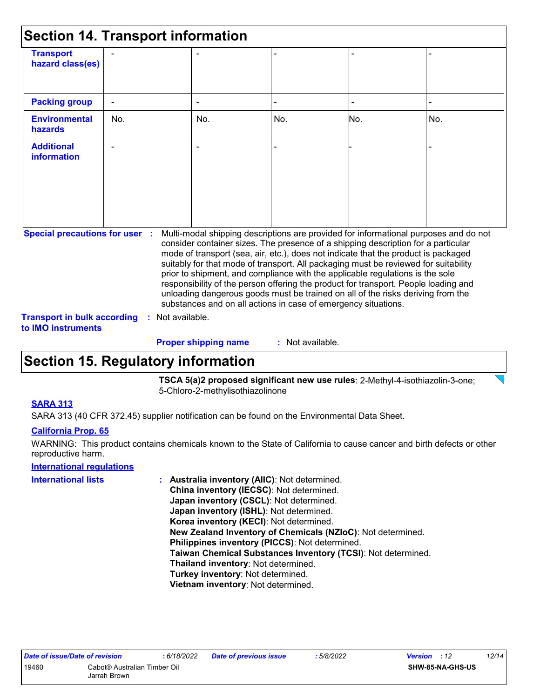| <b>Section 14. Transport information</b>                                                                                                                                                                                                                                                                                                                                                                                                                                                                                                                                                                                                                                                                                                                                                                         |                |  |                             |                  |     |     |  |
|------------------------------------------------------------------------------------------------------------------------------------------------------------------------------------------------------------------------------------------------------------------------------------------------------------------------------------------------------------------------------------------------------------------------------------------------------------------------------------------------------------------------------------------------------------------------------------------------------------------------------------------------------------------------------------------------------------------------------------------------------------------------------------------------------------------|----------------|--|-----------------------------|------------------|-----|-----|--|
| <b>Transport</b><br>hazard class(es)                                                                                                                                                                                                                                                                                                                                                                                                                                                                                                                                                                                                                                                                                                                                                                             |                |  |                             |                  |     |     |  |
| <b>Packing group</b>                                                                                                                                                                                                                                                                                                                                                                                                                                                                                                                                                                                                                                                                                                                                                                                             | $\blacksquare$ |  |                             |                  |     |     |  |
| <b>Environmental</b><br><b>hazards</b>                                                                                                                                                                                                                                                                                                                                                                                                                                                                                                                                                                                                                                                                                                                                                                           | No.            |  | No.                         | No.              | No. | No. |  |
| <b>Additional</b><br>information                                                                                                                                                                                                                                                                                                                                                                                                                                                                                                                                                                                                                                                                                                                                                                                 |                |  |                             |                  |     |     |  |
| <b>Special precautions for user :</b><br>Multi-modal shipping descriptions are provided for informational purposes and do not<br>consider container sizes. The presence of a shipping description for a particular<br>mode of transport (sea, air, etc.), does not indicate that the product is packaged<br>suitably for that mode of transport. All packaging must be reviewed for suitability<br>prior to shipment, and compliance with the applicable regulations is the sole<br>responsibility of the person offering the product for transport. People loading and<br>unloading dangerous goods must be trained on all of the risks deriving from the<br>substances and on all actions in case of emergency situations.<br><b>Transport in bulk according</b><br>Not available.<br>t.<br>to IMO instruments |                |  |                             |                  |     |     |  |
|                                                                                                                                                                                                                                                                                                                                                                                                                                                                                                                                                                                                                                                                                                                                                                                                                  |                |  | <b>Proper shipping name</b> | : Not available. |     |     |  |

### **Section 15. Regulatory information**

**TSCA 5(a)2 proposed significant new use rules**: 2-Methyl-4-isothiazolin-3-one; 5-Chloro-2-methylisothiazolinone

#### **SARA 313**

SARA 313 (40 CFR 372.45) supplier notification can be found on the Environmental Data Sheet.

#### **California Prop. 65**

WARNING: This product contains chemicals known to the State of California to cause cancer and birth defects or other reproductive harm.

#### **International regulations**

| <b>International lists</b> | Australia inventory (AllC): Not determined.                  |
|----------------------------|--------------------------------------------------------------|
|                            | China inventory (IECSC): Not determined.                     |
|                            | Japan inventory (CSCL): Not determined.                      |
|                            | Japan inventory (ISHL): Not determined.                      |
|                            | Korea inventory (KECI): Not determined.                      |
|                            | New Zealand Inventory of Chemicals (NZIoC): Not determined.  |
|                            | Philippines inventory (PICCS): Not determined.               |
|                            | Taiwan Chemical Substances Inventory (TCSI): Not determined. |
|                            | Thailand inventory: Not determined.                          |
|                            | Turkey inventory: Not determined.                            |
|                            | Vietnam inventory: Not determined.                           |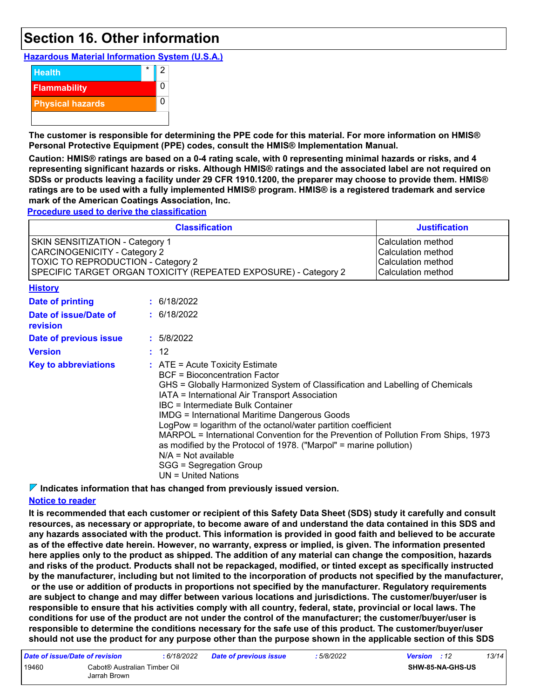### **Section 16. Other information**

**Hazardous Material Information System (U.S.A.)**



**The customer is responsible for determining the PPE code for this material. For more information on HMIS® Personal Protective Equipment (PPE) codes, consult the HMIS® Implementation Manual.**

**Caution: HMIS® ratings are based on a 0-4 rating scale, with 0 representing minimal hazards or risks, and 4 representing significant hazards or risks. Although HMIS® ratings and the associated label are not required on SDSs or products leaving a facility under 29 CFR 1910.1200, the preparer may choose to provide them. HMIS® ratings are to be used with a fully implemented HMIS® program. HMIS® is a registered trademark and service mark of the American Coatings Association, Inc.**

**Procedure used to derive the classification**

| <b>Classification</b><br><b>Justification</b>                                                                                                                                   |                                                                                                                                                                                                                                                                                                                                                                                                                                                                                                                                                                                                                                    |             |  |  |
|---------------------------------------------------------------------------------------------------------------------------------------------------------------------------------|------------------------------------------------------------------------------------------------------------------------------------------------------------------------------------------------------------------------------------------------------------------------------------------------------------------------------------------------------------------------------------------------------------------------------------------------------------------------------------------------------------------------------------------------------------------------------------------------------------------------------------|-------------|--|--|
| SKIN SENSITIZATION - Category 1<br><b>CARCINOGENICITY - Category 2</b><br>TOXIC TO REPRODUCTION - Category 2<br>SPECIFIC TARGET ORGAN TOXICITY (REPEATED EXPOSURE) - Category 2 | Calculation method<br>Calculation method<br>Calculation method<br>Calculation method                                                                                                                                                                                                                                                                                                                                                                                                                                                                                                                                               |             |  |  |
| <b>History</b>                                                                                                                                                                  |                                                                                                                                                                                                                                                                                                                                                                                                                                                                                                                                                                                                                                    |             |  |  |
| Date of printing                                                                                                                                                                |                                                                                                                                                                                                                                                                                                                                                                                                                                                                                                                                                                                                                                    | : 6/18/2022 |  |  |
| Date of issue/Date of<br>revision                                                                                                                                               |                                                                                                                                                                                                                                                                                                                                                                                                                                                                                                                                                                                                                                    | : 6/18/2022 |  |  |
| Date of previous issue                                                                                                                                                          |                                                                                                                                                                                                                                                                                                                                                                                                                                                                                                                                                                                                                                    | : 5/8/2022  |  |  |
| <b>Version</b>                                                                                                                                                                  |                                                                                                                                                                                                                                                                                                                                                                                                                                                                                                                                                                                                                                    |             |  |  |
| <b>Key to abbreviations</b>                                                                                                                                                     | : 12<br>$:$ ATE = Acute Toxicity Estimate<br><b>BCF</b> = Bioconcentration Factor<br>GHS = Globally Harmonized System of Classification and Labelling of Chemicals<br>IATA = International Air Transport Association<br><b>IBC</b> = Intermediate Bulk Container<br><b>IMDG</b> = International Maritime Dangerous Goods<br>LogPow = logarithm of the octanol/water partition coefficient<br>MARPOL = International Convention for the Prevention of Pollution From Ships, 1973<br>as modified by the Protocol of 1978. ("Marpol" = marine pollution)<br>$N/A = Not available$<br>SGG = Segregation Group<br>$UN = United Nations$ |             |  |  |

**Indicates information that has changed from previously issued version.**

#### **Notice to reader**

**It is recommended that each customer or recipient of this Safety Data Sheet (SDS) study it carefully and consult resources, as necessary or appropriate, to become aware of and understand the data contained in this SDS and any hazards associated with the product. This information is provided in good faith and believed to be accurate as of the effective date herein. However, no warranty, express or implied, is given. The information presented here applies only to the product as shipped. The addition of any material can change the composition, hazards and risks of the product. Products shall not be repackaged, modified, or tinted except as specifically instructed by the manufacturer, including but not limited to the incorporation of products not specified by the manufacturer, or the use or addition of products in proportions not specified by the manufacturer. Regulatory requirements are subject to change and may differ between various locations and jurisdictions. The customer/buyer/user is responsible to ensure that his activities comply with all country, federal, state, provincial or local laws. The conditions for use of the product are not under the control of the manufacturer; the customer/buyer/user is responsible to determine the conditions necessary for the safe use of this product. The customer/buyer/user should not use the product for any purpose other than the purpose shown in the applicable section of this SDS** 

| Date of issue/Date of revision |                                              | : 6/18/2022 | <b>Date of previous issue</b> | : 5/8/2022 | <b>Version</b> : 12 |                         | 13/14 |
|--------------------------------|----------------------------------------------|-------------|-------------------------------|------------|---------------------|-------------------------|-------|
| 19460                          | Cabot® Australian Timber Oil<br>Jarrah Brown |             |                               |            |                     | <b>SHW-85-NA-GHS-US</b> |       |